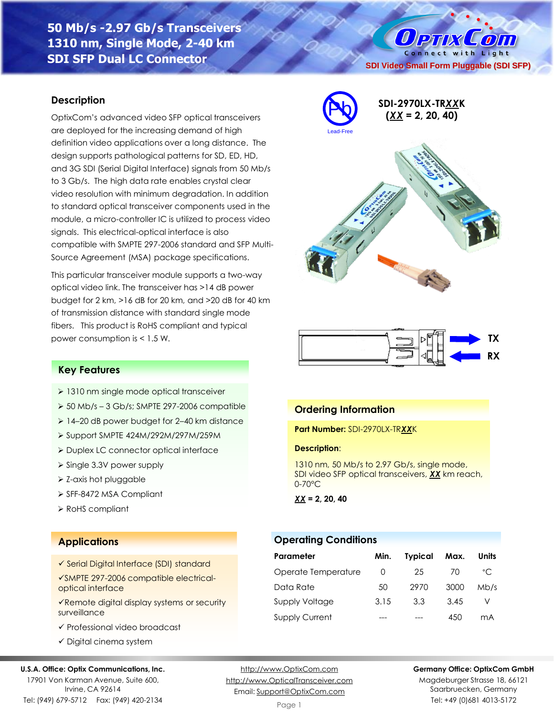**50 Mb/s -2.97 Gb/s Transceivers 1310 nm, Single Mode, 2-40 km SDI SFP Dual LC Connector**

#### **Description**

OptixCom's advanced video SFP optical transceivers are deployed for the increasing demand of high definition video applications over a long distance. The design supports pathological patterns for SD, ED, HD, and 3G SDI (Serial Digital Interface) signals from 50 Mb/s to 3 Gb/s. The high data rate enables crystal clear video resolution with minimum degradation. In addition to standard optical transceiver components used in the module, a micro-controller IC is utilized to process video signals. This electrical-optical interface is also compatible with SMPTE 297-2006 standard and SFP Multi-Source Agreement (MSA) package specifications.

This particular transceiver module supports a two-way optical video link. The transceiver has >14 dB power budget for 2 km, >16 dB for 20 km, and >20 dB for 40 km of transmission distance with standard single mode fibers. This product is RoHS compliant and typical power consumption is < 1.5 W.



**SDI Video Small Form Pluggable (SDI SFP)**

Connect with Light

 $\sqrt{2}$ 

 $0$  PTIX



**Ordering Information**

**Description**:

*XX* **= 2, 20, 40**

**Operating Conditions**

0-70°C

**Part Number:** SDI-2970LX-TR*XX*K

1310 nm, 50 Mb/s to 2.97 Gb/s, single mode, SDI video SFP optical transceivers, *XX* km reach,

**Parameter Min. Typical Max. Units** Operate Temperature 0 25 70 °C Data Rate 50 2970 3000 Mb/s Supply Voltage 3.15 3.3 3.45 V Supply Current --- --- --- 450 mA

#### **Key Features**

- ➢ 1310 nm single mode optical transceiver
- $\geq 50$  Mb/s 3 Gb/s; SMPTE 297-2006 compatible
- ➢ 14–20 dB power budget for 2–40 km distance
- ➢ Support SMPTE 424M/292M/297M/259M
- ➢ Duplex LC connector optical interface
- ➢ Single 3.3V power supply
- ➢ Z-axis hot pluggable
- ➢ SFF-8472 MSA Compliant
- ➢ RoHS compliant

#### **Applications**

- ✓ Serial Digital Interface (SDI) standard
- ✓SMPTE 297-2006 compatible electricaloptical interface
- ✓Remote digital display systems or security surveillance
- ✓ Professional video broadcast
- ✓ Digital cinema system

#### **U.S.A. Office: Optix Communications, Inc.**

17901 Von Karman Avenue, Suite 600, Irvine, CA 92614 Tel: (949) 679-5712 Fax: (949) 420-2134

[http://www.OptixCom.com](http://www.optixcom.com/) [http://www.OpticalTransceiver.com](http://www.optoictech.com/) Email: [Support@OptixCom.com](mailto:Support@optoICtech.com)

Page 1

#### **Germany Office: OptixCom GmbH**

Magdeburger Strasse 18, 66121 Saarbruecken, Germany Tel: +49 (0)681 4013-5172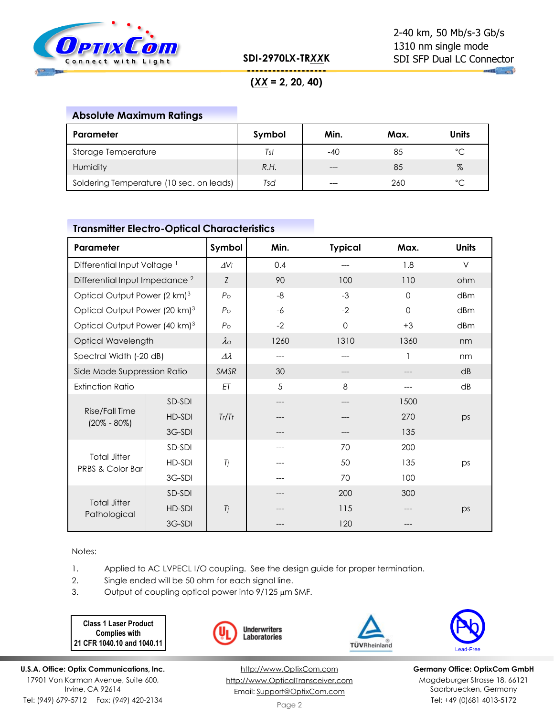

**SDI-2970LX-TR***XX***K**

**------------------- (***XX* **= 2, 20, 40)**

# **Absolute Maximum Ratings**

| Parameter                                | Symbol | Min.    | Max. | <b>Units</b> |
|------------------------------------------|--------|---------|------|--------------|
| Storage Temperature                      | Tst    | -40     | 85   | °C           |
| Humidity                                 | R.H.   | $- - -$ | 85   | $\%$         |
| Soldering Temperature (10 sec. on leads) | Tsd    | $---$   | 260  | $\hat{C}$    |

#### **Transmitter Electro-Optical Characteristics**

| Parameter                                          |        | Symbol             | Min. | <b>Typical</b> | Max.     | <b>Units</b> |
|----------------------------------------------------|--------|--------------------|------|----------------|----------|--------------|
| Differential Input Voltage <sup>1</sup>            |        | $\Delta$ Vi        | 0.4  |                | 1.8      | V            |
| Differential Input Impedance <sup>2</sup>          |        | Z                  | 90   | 100            | 110      | ohm          |
| Optical Output Power (2 km) <sup>3</sup>           |        | P <sub>o</sub>     | $-8$ | $-3$           | $\Omega$ | dBm          |
| Optical Output Power (20 km) <sup>3</sup>          |        | P <sub>o</sub>     | $-6$ | $-2$           | $\Omega$ | dBm          |
| Optical Output Power (40 km) <sup>3</sup>          |        | P <sub>O</sub>     | $-2$ | $\Omega$       | $+3$     | dBm          |
| Optical Wavelength                                 |        | $\lambda_{\rm O}$  | 1260 | 1310           | 1360     | nm           |
| Spectral Width (-20 dB)                            |        | $\varDelta\lambda$ | ---  |                |          | nm           |
| Side Mode Suppression Ratio                        |        | <b>SMSR</b>        | 30   |                |          | dB           |
| <b>Extinction Ratio</b>                            |        | ET                 | 5    | 8              |          | dB           |
|                                                    | SD-SDI |                    | ---  |                | 1500     |              |
| Rise/Fall Time<br>$(20\% - 80\%)$                  | HD-SDI | Tr/Tr              |      |                | 270      | ps           |
|                                                    | 3G-SDI |                    |      |                | 135      |              |
| <b>Total Jitter</b><br><b>PRBS &amp; Color Bar</b> | SD-SDI |                    |      | 70             | 200      |              |
|                                                    | HD-SDI | Tj                 |      | 50             | 135      | ps           |
|                                                    | 3G-SDI |                    |      | 70             | 100      |              |
|                                                    | SD-SDI |                    |      | 200            | 300      |              |
| <b>Total Jitter</b><br>Pathological                | HD-SDI | Tj                 |      | 115            |          | ps           |
|                                                    | 3G-SDI |                    |      | 120            |          |              |

Notes:

1. Applied to AC LVPECL I/O coupling. See the design guide for proper termination.

- 2. Single ended will be 50 ohm for each signal line.
- 3. Output of coupling optical power into  $9/125 \mu m$  SMF.

**Class 1 Laser Product Complies with 21 CFR 1040.10 and 1040.11**







**Germany Office: OptixCom GmbH** Magdeburger Strasse 18, 66121 Saarbruecken, Germany Tel: +49 (0)681 4013-5172

**U.S.A. Office: Optix Communications, Inc.** 17901 Von Karman Avenue, Suite 600, Irvine, CA 92614 Tel: (949) 679-5712 Fax: (949) 420-2134

[http://www.OptixCom.com](http://www.optixcom.com/) [http://www.OpticalTransceiver.com](http://www.optoictech.com/) Email: [Support@OptixCom.com](mailto:Support@optoICtech.com)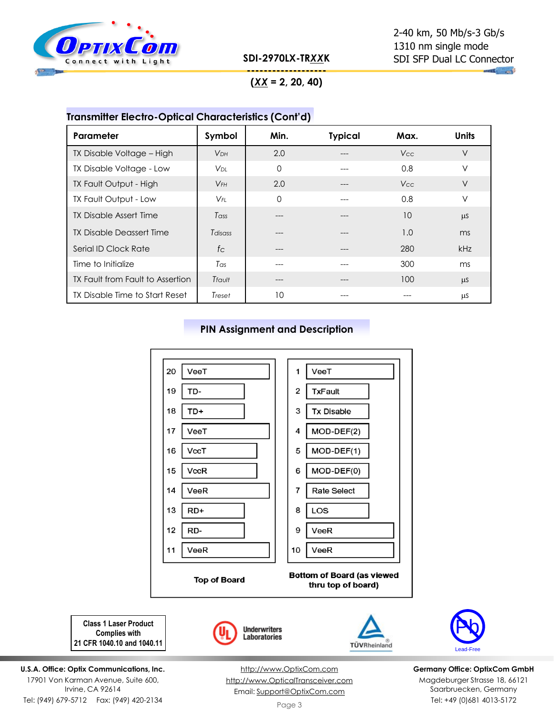

**SDI-2970LX-TR***XX***K**

# 2-40 km, 50 Mb/s-3 Gb/s 1310 nm single mode SDI SFP Dual LC Connector

**------------------- (***XX* **= 2, 20, 40)**

# **Transmitter Electro-Optical Characteristics (Cont'd)**

| Parameter                        | Symbol                 | Min.     | <b>Typical</b> | Max.            | <b>Units</b> |
|----------------------------------|------------------------|----------|----------------|-----------------|--------------|
| TX Disable Voltage - High        | <b>V<sub>DH</sub></b>  | 2.0      |                | V <sub>cc</sub> | $\vee$       |
| TX Disable Voltage - Low         | <b>V</b> <sub>DL</sub> | $\Omega$ |                | 0.8             | V            |
| TX Fault Output - High           | $V$ FH                 | 2.0      |                | Vcc.            | V            |
| TX Fault Output - Low            | $V_{FI}$               | $\Omega$ |                | 0.8             | $\vee$       |
| <b>TX Disable Assert Time</b>    | Tass                   |          |                | 10              | <b>LLS</b>   |
| <b>TX Disable Deassert Time</b>  | Tdisass                |          |                | 1.0             | ms           |
| Serial ID Clock Rate             | fc                     |          |                | 280             | kHz          |
| Time to Initialize               | Tas                    |          |                | 300             | ms           |
| TX Fault from Fault to Assertion | Trault                 | ---      | ---            | 100             | <b>LLS</b>   |
| TX Disable Time to Start Reset   | Treset                 | 10       |                | ---             | μS           |

### **PIN Assignment and Description**



Pb Lead-Free

**Germany Office: OptixCom GmbH** Magdeburger Strasse 18, 66121 Saarbruecken, Germany Tel: +49 (0)681 4013-5172

**Class 1 Laser Product Complies with 21 CFR 1040.10 and 1040.11**

**U.S.A. Office: Optix Communications, Inc.** 17901 Von Karman Avenue, Suite 600, Irvine, CA 92614 Tel: (949) 679-5712 Fax: (949) 420-2134

[http://www.OptixCom.com](http://www.optixcom.com/) [http://www.OpticalTransceiver.com](http://www.optoictech.com/) Email: [Support@OptixCom.com](mailto:Support@optoICtech.com)